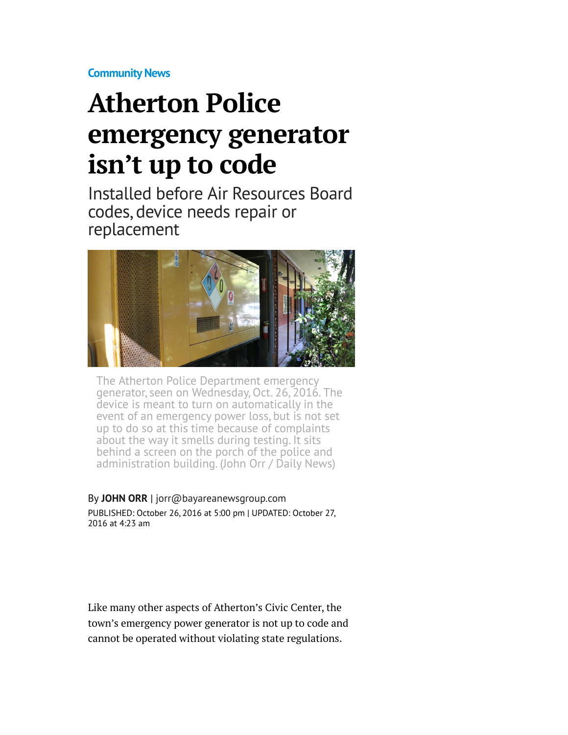**[Community News](http://www.mercurynews.com/community-news/)**

## **Atherton Police emergency generator isn't up to code**

Installed before Air Resources Board codes, device needs repair or replacement



The Atherton Police Department emergency generator, seen on Wednesday, Oct. 26, 2016. The device is meant to turn on automatically in the event of an emergency power loss, but is not set up to do so at this time because of complaints about the way it smells during testing. It sits behind a screen on the porch of the police and administration building. (John Orr / Daily News)

By **[JOHN ORR](http://www.mercurynews.com/author/john-orr/)** | [jorr@bayareanewsgroup.com](mailto:jorr@bayareanewsgroup.com) PUBLISHED: October 26, 2016 at 5:00 pm | UPDATED: October 27, 2016 at 4:23 am

Like many other aspects of Atherton's Civic Center, the town's emergency power generator is not up to code and cannot be operated without violating state regulations.